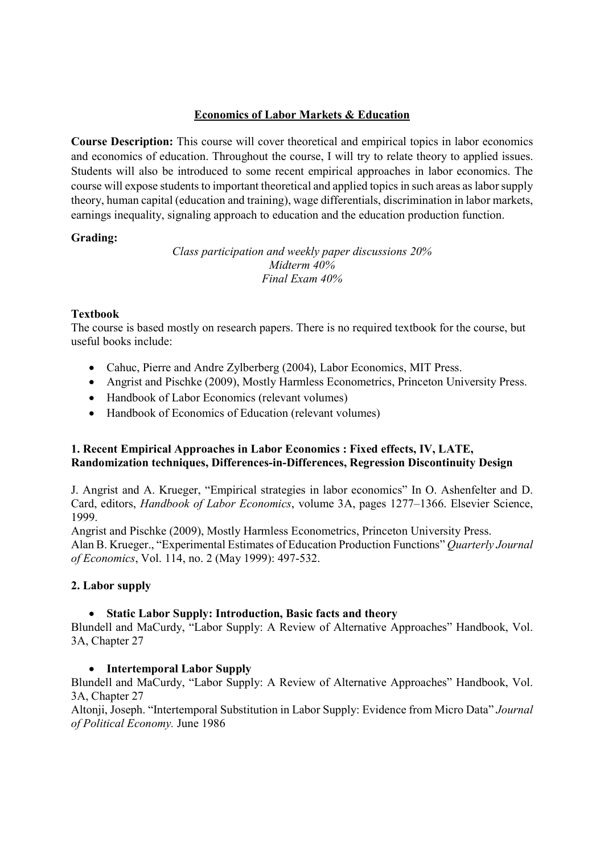# Economics of Labor Markets & Education

Course Description: This course will cover theoretical and empirical topics in labor economics and economics of education. Throughout the course, I will try to relate theory to applied issues. Students will also be introduced to some recent empirical approaches in labor economics. The course will expose students to important theoretical and applied topics in such areas as labor supply theory, human capital (education and training), wage differentials, discrimination in labor markets, earnings inequality, signaling approach to education and the education production function.

## Grading:

Class participation and weekly paper discussions 20% Midterm 40% Final Exam 40%

## Textbook

The course is based mostly on research papers. There is no required textbook for the course, but useful books include:

- Cahuc, Pierre and Andre Zylberberg (2004), Labor Economics, MIT Press.
- Angrist and Pischke (2009), Mostly Harmless Econometrics, Princeton University Press.
- Handbook of Labor Economics (relevant volumes)
- Handbook of Economics of Education (relevant volumes)

## 1. Recent Empirical Approaches in Labor Economics : Fixed effects, IV, LATE, Randomization techniques, Differences-in-Differences, Regression Discontinuity Design

J. Angrist and A. Krueger, "Empirical strategies in labor economics" In O. Ashenfelter and D. Card, editors, Handbook of Labor Economics, volume 3A, pages 1277–1366. Elsevier Science, 1999.

Angrist and Pischke (2009), Mostly Harmless Econometrics, Princeton University Press. Alan B. Krueger., "Experimental Estimates of Education Production Functions" Quarterly Journal of Economics, Vol. 114, no. 2 (May 1999): 497-532.

## 2. Labor supply

## • Static Labor Supply: Introduction, Basic facts and theory

Blundell and MaCurdy, "Labor Supply: A Review of Alternative Approaches" Handbook, Vol. 3A, Chapter 27

## • Intertemporal Labor Supply

Blundell and MaCurdy, "Labor Supply: A Review of Alternative Approaches" Handbook, Vol. 3A, Chapter 27

Altonji, Joseph. "Intertemporal Substitution in Labor Supply: Evidence from Micro Data" Journal of Political Economy. June 1986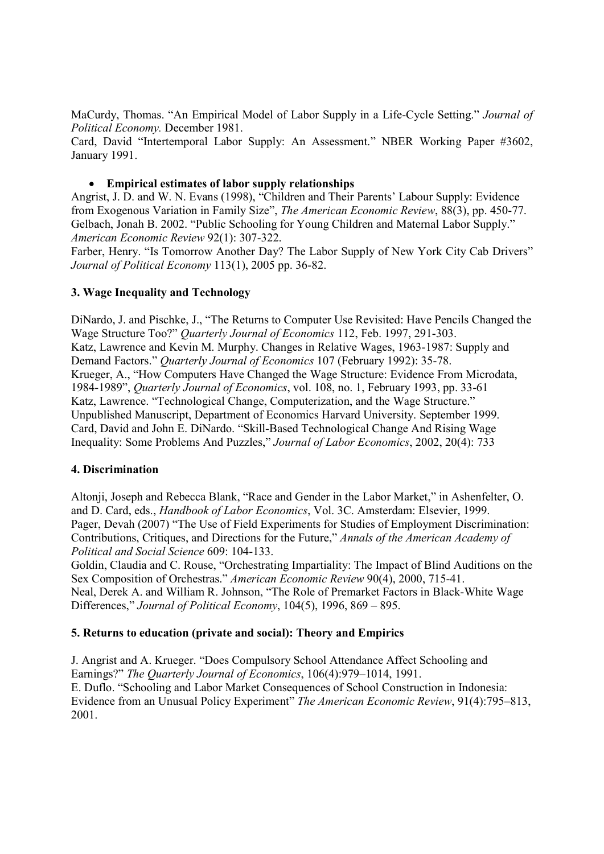MaCurdy, Thomas. "An Empirical Model of Labor Supply in a Life-Cycle Setting." Journal of Political Economy. December 1981.

Card, David "Intertemporal Labor Supply: An Assessment." NBER Working Paper #3602, January 1991.

## Empirical estimates of labor supply relationships

Angrist, J. D. and W. N. Evans (1998), "Children and Their Parents' Labour Supply: Evidence from Exogenous Variation in Family Size", The American Economic Review, 88(3), pp. 450-77. Gelbach, Jonah B. 2002. "Public Schooling for Young Children and Maternal Labor Supply." American Economic Review 92(1): 307-322.

Farber, Henry. "Is Tomorrow Another Day? The Labor Supply of New York City Cab Drivers" Journal of Political Economy 113(1), 2005 pp. 36-82.

## 3. Wage Inequality and Technology

DiNardo, J. and Pischke, J., "The Returns to Computer Use Revisited: Have Pencils Changed the Wage Structure Too?" Quarterly Journal of Economics 112, Feb. 1997, 291-303. Katz, Lawrence and Kevin M. Murphy. Changes in Relative Wages, 1963-1987: Supply and Demand Factors." Quarterly Journal of Economics 107 (February 1992): 35-78. Krueger, A., "How Computers Have Changed the Wage Structure: Evidence From Microdata, 1984-1989", Quarterly Journal of Economics, vol. 108, no. 1, February 1993, pp. 33-61 Katz, Lawrence. "Technological Change, Computerization, and the Wage Structure." Unpublished Manuscript, Department of Economics Harvard University. September 1999. Card, David and John E. DiNardo. "Skill-Based Technological Change And Rising Wage Inequality: Some Problems And Puzzles," Journal of Labor Economics, 2002, 20(4): 733

### 4. Discrimination

Altonji, Joseph and Rebecca Blank, "Race and Gender in the Labor Market," in Ashenfelter, O. and D. Card, eds., Handbook of Labor Economics, Vol. 3C. Amsterdam: Elsevier, 1999. Pager, Devah (2007) "The Use of Field Experiments for Studies of Employment Discrimination: Contributions, Critiques, and Directions for the Future," Annals of the American Academy of Political and Social Science 609: 104-133.

Goldin, Claudia and C. Rouse, "Orchestrating Impartiality: The Impact of Blind Auditions on the Sex Composition of Orchestras." American Economic Review 90(4), 2000, 715-41. Neal, Derek A. and William R. Johnson, "The Role of Premarket Factors in Black-White Wage Differences," Journal of Political Economy, 104(5), 1996, 869 – 895.

## 5. Returns to education (private and social): Theory and Empirics

J. Angrist and A. Krueger. "Does Compulsory School Attendance Affect Schooling and Earnings?" The Quarterly Journal of Economics, 106(4):979–1014, 1991. E. Duflo. "Schooling and Labor Market Consequences of School Construction in Indonesia: Evidence from an Unusual Policy Experiment" The American Economic Review, 91(4):795–813, 2001.